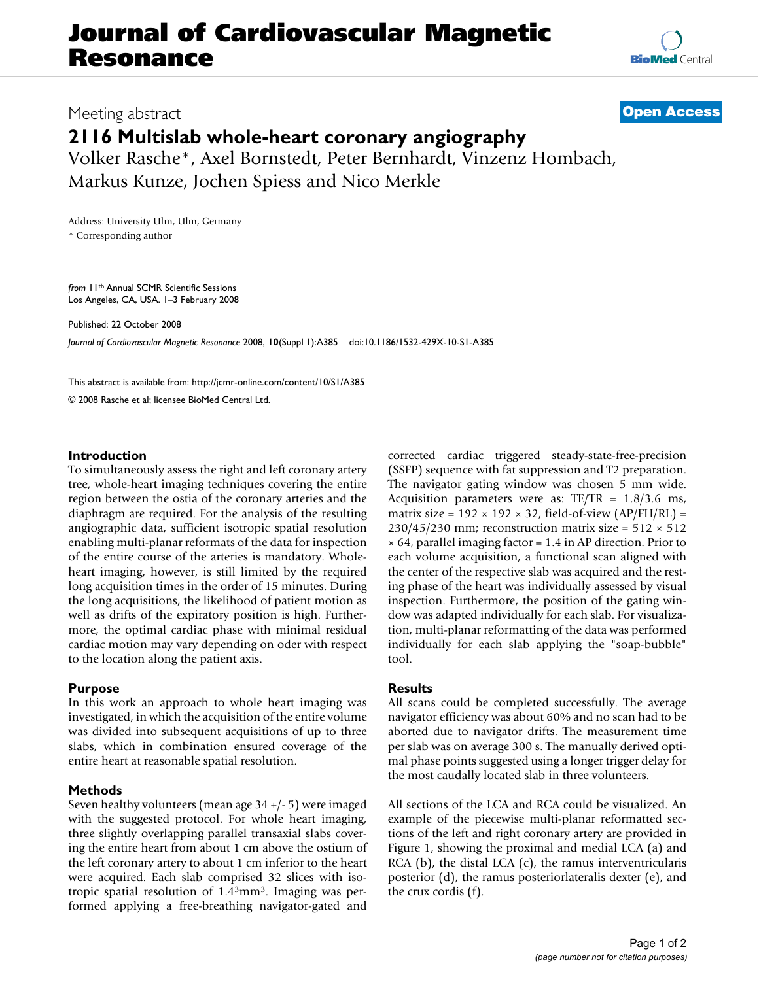# **Journal of Cardiovascular Magnetic Resonance**

Meeting abstract **[Open Access](http://www.biomedcentral.com/info/about/charter/)**

## **2116 Multislab whole-heart coronary angiography**

Volker Rasche\*, Axel Bornstedt, Peter Bernhardt, Vinzenz Hombach, Markus Kunze, Jochen Spiess and Nico Merkle

Address: University Ulm, Ulm, Germany \* Corresponding author

*from* 11th Annual SCMR Scientific Sessions Los Angeles, CA, USA. 1–3 February 2008

Published: 22 October 2008

*Journal of Cardiovascular Magnetic Resonance* 2008, **10**(Suppl 1):A385 doi:10.1186/1532-429X-10-S1-A385

[This abstract is available from: http://jcmr-online.com/content/10/S1/A385](http://jcmr-online.com/content/10/S1/A385)

© 2008 Rasche et al; licensee BioMed Central Ltd.

#### **Introduction**

To simultaneously assess the right and left coronary artery tree, whole-heart imaging techniques covering the entire region between the ostia of the coronary arteries and the diaphragm are required. For the analysis of the resulting angiographic data, sufficient isotropic spatial resolution enabling multi-planar reformats of the data for inspection of the entire course of the arteries is mandatory. Wholeheart imaging, however, is still limited by the required long acquisition times in the order of 15 minutes. During the long acquisitions, the likelihood of patient motion as well as drifts of the expiratory position is high. Furthermore, the optimal cardiac phase with minimal residual cardiac motion may vary depending on oder with respect to the location along the patient axis.

#### **Purpose**

In this work an approach to whole heart imaging was investigated, in which the acquisition of the entire volume was divided into subsequent acquisitions of up to three slabs, which in combination ensured coverage of the entire heart at reasonable spatial resolution.

#### **Methods**

Seven healthy volunteers (mean age 34 +/- 5) were imaged with the suggested protocol. For whole heart imaging, three slightly overlapping parallel transaxial slabs covering the entire heart from about 1 cm above the ostium of the left coronary artery to about 1 cm inferior to the heart were acquired. Each slab comprised 32 slices with isotropic spatial resolution of 1.43mm3. Imaging was performed applying a free-breathing navigator-gated and corrected cardiac triggered steady-state-free-precision (SSFP) sequence with fat suppression and T2 preparation. The navigator gating window was chosen 5 mm wide. Acquisition parameters were as:  $TE/TR = 1.8/3.6$  ms, matrix size =  $192 \times 192 \times 32$ , field-of-view (AP/FH/RL) =  $230/45/230$  mm; reconstruction matrix size =  $512 \times 512$  $\times$  64, parallel imaging factor = 1.4 in AP direction. Prior to each volume acquisition, a functional scan aligned with the center of the respective slab was acquired and the resting phase of the heart was individually assessed by visual inspection. Furthermore, the position of the gating window was adapted individually for each slab. For visualization, multi-planar reformatting of the data was performed individually for each slab applying the "soap-bubble" tool.

#### **Results**

All scans could be completed successfully. The average navigator efficiency was about 60% and no scan had to be aborted due to navigator drifts. The measurement time per slab was on average 300 s. The manually derived optimal phase points suggested using a longer trigger delay for the most caudally located slab in three volunteers.

All sections of the LCA and RCA could be visualized. An example of the piecewise multi-planar reformatted sections of the left and right coronary artery are provided in Figure 1, showing the proximal and medial LCA (a) and RCA  $(b)$ , the distal LCA  $(c)$ , the ramus interventricularis posterior (d), the ramus posteriorlateralis dexter (e), and the crux cordis (f).